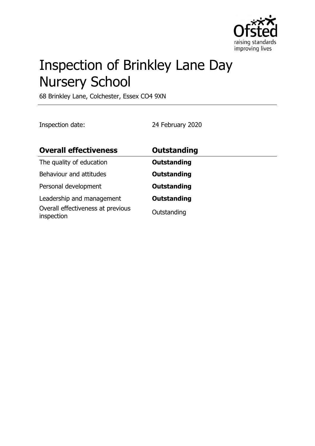

# Inspection of Brinkley Lane Day Nursery School

68 Brinkley Lane, Colchester, Essex CO4 9XN

Inspection date: 24 February 2020

| <b>Overall effectiveness</b>                                                 | <b>Outstanding</b>                |
|------------------------------------------------------------------------------|-----------------------------------|
| The quality of education                                                     | <b>Outstanding</b>                |
| Behaviour and attitudes                                                      | <b>Outstanding</b>                |
| Personal development                                                         | <b>Outstanding</b>                |
| Leadership and management<br>Overall effectiveness at previous<br>inspection | <b>Outstanding</b><br>Outstanding |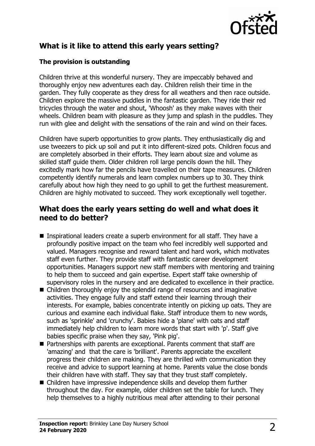

# **What is it like to attend this early years setting?**

#### **The provision is outstanding**

Children thrive at this wonderful nursery. They are impeccably behaved and thoroughly enjoy new adventures each day. Children relish their time in the garden. They fully cooperate as they dress for all weathers and then race outside. Children explore the massive puddles in the fantastic garden. They ride their red tricycles through the water and shout, 'Whoosh' as they make waves with their wheels. Children beam with pleasure as they jump and splash in the puddles. They run with glee and delight with the sensations of the rain and wind on their faces.

Children have superb opportunities to grow plants. They enthusiastically dig and use tweezers to pick up soil and put it into different-sized pots. Children focus and are completely absorbed in their efforts. They learn about size and volume as skilled staff guide them. Older children roll large pencils down the hill. They excitedly mark how far the pencils have travelled on their tape measures. Children competently identify numerals and learn complex numbers up to 30. They think carefully about how high they need to go uphill to get the furthest measurement. Children are highly motivated to succeed. They work exceptionally well together.

### **What does the early years setting do well and what does it need to do better?**

- Inspirational leaders create a superb environment for all staff. They have a profoundly positive impact on the team who feel incredibly well supported and valued. Managers recognise and reward talent and hard work, which motivates staff even further. They provide staff with fantastic career development opportunities. Managers support new staff members with mentoring and training to help them to succeed and gain expertise. Expert staff take ownership of supervisory roles in the nursery and are dedicated to excellence in their practice.
- $\blacksquare$  Children thoroughly enjoy the splendid range of resources and imaginative activities. They engage fully and staff extend their learning through their interests. For example, babies concentrate intently on picking up oats. They are curious and examine each individual flake. Staff introduce them to new words, such as 'sprinkle' and 'crunchy'. Babies hide a 'plane' with oats and staff immediately help children to learn more words that start with 'p'. Staff give babies specific praise when they say, 'Pink pig'.
- Partnerships with parents are exceptional. Parents comment that staff are 'amazing' and that the care is 'brilliant'. Parents appreciate the excellent progress their children are making. They are thrilled with communication they receive and advice to support learning at home. Parents value the close bonds their children have with staff. They say that they trust staff completely.
- $\blacksquare$  Children have impressive independence skills and develop them further throughout the day. For example, older children set the table for lunch. They help themselves to a highly nutritious meal after attending to their personal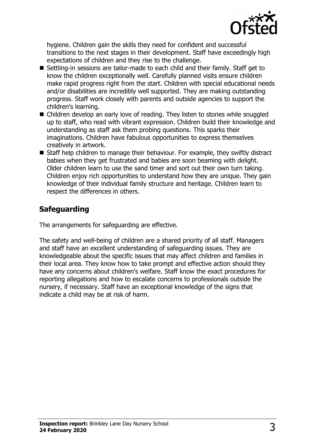

hygiene. Children gain the skills they need for confident and successful transitions to the next stages in their development. Staff have exceedingly high expectations of children and they rise to the challenge.

- Settling-in sessions are tailor-made to each child and their family. Staff get to know the children exceptionally well. Carefully planned visits ensure children make rapid progress right from the start. Children with special educational needs and/or disabilities are incredibly well supported. They are making outstanding progress. Staff work closely with parents and outside agencies to support the children's learning.
- Children develop an early love of reading. They listen to stories while snuggled up to staff, who read with vibrant expression. Children build their knowledge and understanding as staff ask them probing questions. This sparks their imaginations. Children have fabulous opportunities to express themselves creatively in artwork.
- $\blacksquare$  Staff help children to manage their behaviour. For example, they swiftly distract babies when they get frustrated and babies are soon beaming with delight. Older children learn to use the sand timer and sort out their own turn taking. Children enjoy rich opportunities to understand how they are unique. They gain knowledge of their individual family structure and heritage. Children learn to respect the differences in others.

## **Safeguarding**

The arrangements for safeguarding are effective.

The safety and well-being of children are a shared priority of all staff. Managers and staff have an excellent understanding of safeguarding issues. They are knowledgeable about the specific issues that may affect children and families in their local area. They know how to take prompt and effective action should they have any concerns about children's welfare. Staff know the exact procedures for reporting allegations and how to escalate concerns to professionals outside the nursery, if necessary. Staff have an exceptional knowledge of the signs that indicate a child may be at risk of harm.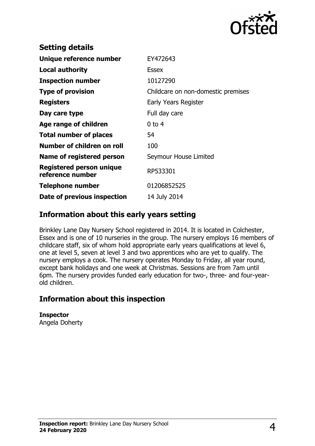

| <b>Setting details</b>                       |                                    |
|----------------------------------------------|------------------------------------|
| Unique reference number                      | EY472643                           |
| <b>Local authority</b>                       | <b>Essex</b>                       |
| <b>Inspection number</b>                     | 10127290                           |
| <b>Type of provision</b>                     | Childcare on non-domestic premises |
| <b>Registers</b>                             | Early Years Register               |
| Day care type                                | Full day care                      |
| Age range of children                        | $0$ to 4                           |
| <b>Total number of places</b>                | 54                                 |
| Number of children on roll                   | 100                                |
| Name of registered person                    | Seymour House Limited              |
| Registered person unique<br>reference number | RP533301                           |
| <b>Telephone number</b>                      | 01206852525                        |
| Date of previous inspection                  | 14 July 2014                       |
|                                              |                                    |

## **Information about this early years setting**

Brinkley Lane Day Nursery School registered in 2014. It is located in Colchester, Essex and is one of 10 nurseries in the group. The nursery employs 16 members of childcare staff, six of whom hold appropriate early years qualifications at level 6, one at level 5, seven at level 3 and two apprentices who are yet to qualify. The nursery employs a cook. The nursery operates Monday to Friday, all year round, except bank holidays and one week at Christmas. Sessions are from 7am until 6pm. The nursery provides funded early education for two-, three- and four-yearold children.

## **Information about this inspection**

**Inspector** Angela Doherty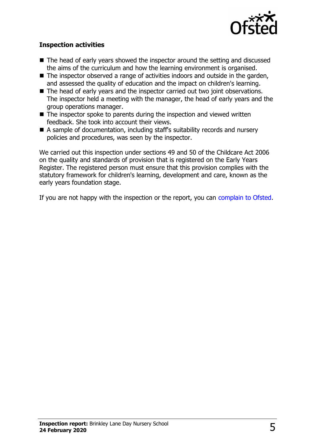

#### **Inspection activities**

- $\blacksquare$  The head of early years showed the inspector around the setting and discussed the aims of the curriculum and how the learning environment is organised.
- $\blacksquare$  The inspector observed a range of activities indoors and outside in the garden, and assessed the quality of education and the impact on children's learning.
- $\blacksquare$  The head of early years and the inspector carried out two joint observations. The inspector held a meeting with the manager, the head of early years and the group operations manager.
- $\blacksquare$  The inspector spoke to parents during the inspection and viewed written feedback. She took into account their views.
- n A sample of documentation, including staff's suitability records and nursery policies and procedures, was seen by the inspector.

We carried out this inspection under sections 49 and 50 of the Childcare Act 2006 on the quality and standards of provision that is registered on the Early Years Register. The registered person must ensure that this provision complies with the statutory framework for children's learning, development and care, known as the early years foundation stage.

If you are not happy with the inspection or the report, you can [complain to Ofsted.](http://www.gov.uk/complain-ofsted-report)